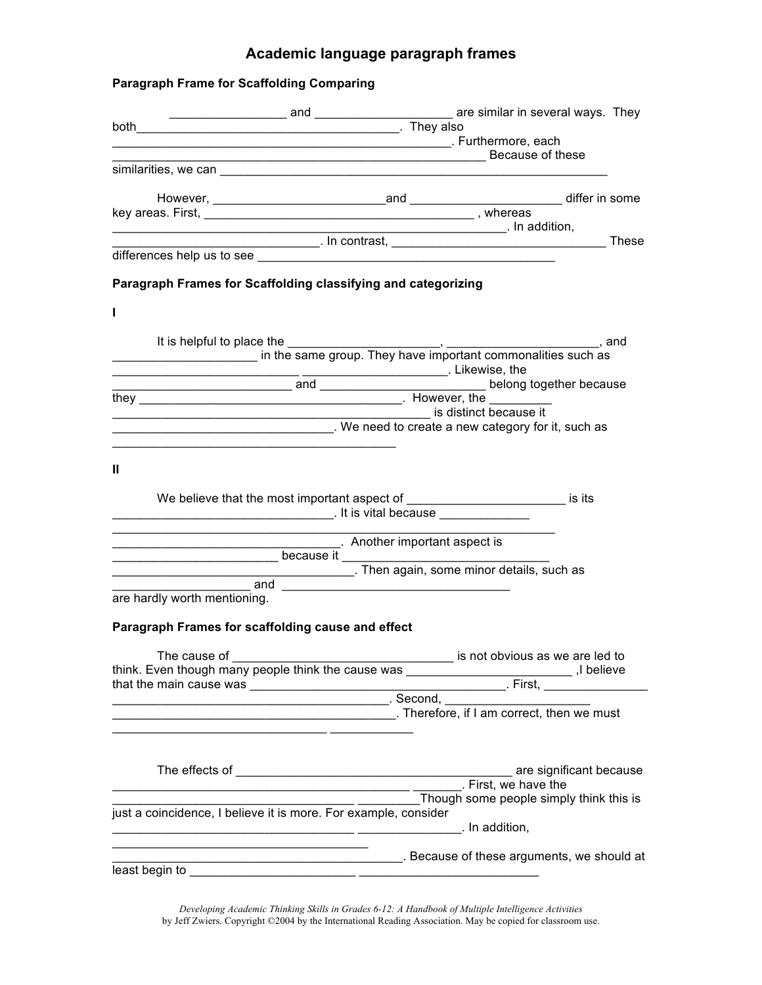## **Academic language paragraph frames**

| <b>Paragraph Frame for Scaffolding Comparing</b>                                                           |                                                                                                                                                                                                                                        |                                       |  |
|------------------------------------------------------------------------------------------------------------|----------------------------------------------------------------------------------------------------------------------------------------------------------------------------------------------------------------------------------------|---------------------------------------|--|
|                                                                                                            |                                                                                                                                                                                                                                        |                                       |  |
|                                                                                                            |                                                                                                                                                                                                                                        |                                       |  |
|                                                                                                            | <b>Necause of these</b> Because of these                                                                                                                                                                                               |                                       |  |
|                                                                                                            |                                                                                                                                                                                                                                        |                                       |  |
|                                                                                                            |                                                                                                                                                                                                                                        |                                       |  |
|                                                                                                            |                                                                                                                                                                                                                                        |                                       |  |
|                                                                                                            |                                                                                                                                                                                                                                        |                                       |  |
|                                                                                                            |                                                                                                                                                                                                                                        | _______________________. In addition, |  |
|                                                                                                            |                                                                                                                                                                                                                                        |                                       |  |
|                                                                                                            |                                                                                                                                                                                                                                        |                                       |  |
| Paragraph Frames for Scaffolding classifying and categorizing                                              |                                                                                                                                                                                                                                        |                                       |  |
| T                                                                                                          |                                                                                                                                                                                                                                        |                                       |  |
|                                                                                                            |                                                                                                                                                                                                                                        |                                       |  |
| It is helpful to place the                                                                                 |                                                                                                                                                                                                                                        |                                       |  |
| in the same group. They have important commonalities such as                                               |                                                                                                                                                                                                                                        |                                       |  |
|                                                                                                            |                                                                                                                                                                                                                                        |                                       |  |
|                                                                                                            |                                                                                                                                                                                                                                        |                                       |  |
| <u> 1980 - Johann John Stein, markin fizik eta idazlea (</u>                                               |                                                                                                                                                                                                                                        | is distinct because it                |  |
|                                                                                                            | Let us a new category for it, such as in the manufacture with the need to create a new category for it, such as                                                                                                                        |                                       |  |
|                                                                                                            |                                                                                                                                                                                                                                        |                                       |  |
| $\mathbf{u}$                                                                                               | We believe that the most important aspect of _____________________________ is its                                                                                                                                                      |                                       |  |
| LAND TO A Another important aspect is                                                                      |                                                                                                                                                                                                                                        |                                       |  |
|                                                                                                            |                                                                                                                                                                                                                                        |                                       |  |
|                                                                                                            |                                                                                                                                                                                                                                        |                                       |  |
| and and                                                                                                    |                                                                                                                                                                                                                                        |                                       |  |
| are hardly worth mentioning.                                                                               |                                                                                                                                                                                                                                        |                                       |  |
| Paragraph Frames for scaffolding cause and effect                                                          |                                                                                                                                                                                                                                        |                                       |  |
|                                                                                                            |                                                                                                                                                                                                                                        |                                       |  |
|                                                                                                            |                                                                                                                                                                                                                                        |                                       |  |
|                                                                                                            |                                                                                                                                                                                                                                        |                                       |  |
|                                                                                                            |                                                                                                                                                                                                                                        |                                       |  |
|                                                                                                            |                                                                                                                                                                                                                                        |                                       |  |
|                                                                                                            |                                                                                                                                                                                                                                        |                                       |  |
|                                                                                                            |                                                                                                                                                                                                                                        |                                       |  |
|                                                                                                            |                                                                                                                                                                                                                                        |                                       |  |
|                                                                                                            | The effects of <u>examen are significant</u> because<br>the examence of the state of the state of the state of the state of the state of the state of the state of the state of the state of the state of the state of the state of th |                                       |  |
|                                                                                                            |                                                                                                                                                                                                                                        |                                       |  |
| Though some people simply think this is<br>just a coincidence, I believe it is more. For example, consider |                                                                                                                                                                                                                                        |                                       |  |
|                                                                                                            |                                                                                                                                                                                                                                        |                                       |  |
|                                                                                                            |                                                                                                                                                                                                                                        |                                       |  |
|                                                                                                            | Let us a set of these arguments, we should at                                                                                                                                                                                          |                                       |  |
|                                                                                                            |                                                                                                                                                                                                                                        |                                       |  |

*Developing Academic Thinking Skills in Grades 6-12: A Handbook of Multiple Intelligence Activities* by Jeff Zwiers. Copyright ©2004 by the International Reading Association. May be copied for classroom use.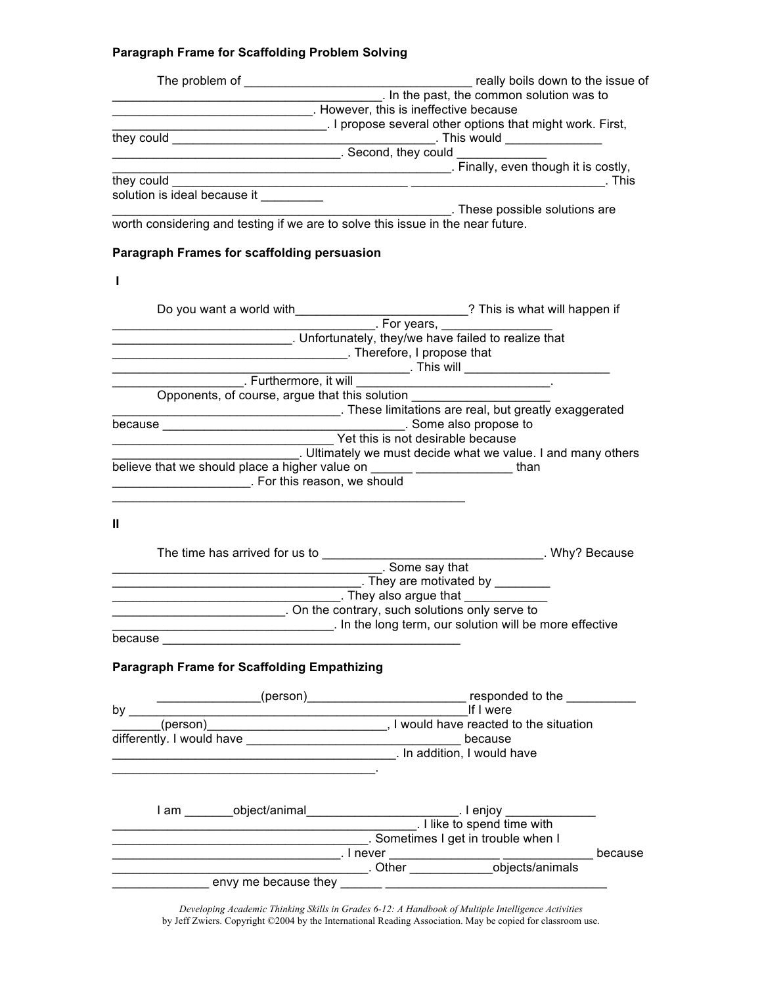## **Paragraph Frame for Scaffolding Problem Solving**

|                                                                                  | really boils down to the issue of                                                                                      |
|----------------------------------------------------------------------------------|------------------------------------------------------------------------------------------------------------------------|
|                                                                                  |                                                                                                                        |
| Letter and School However, this is ineffective because                           |                                                                                                                        |
|                                                                                  | Let propose several other options that might work. First,                                                              |
|                                                                                  |                                                                                                                        |
|                                                                                  | This would<br>Finally, even though it is costly,                                                                       |
|                                                                                  |                                                                                                                        |
|                                                                                  |                                                                                                                        |
| worth considering and testing if we are to solve this issue in the near future.  | <b>Maria Education Control Control Control Control Control Control Control Control Control Control Control Control</b> |
|                                                                                  |                                                                                                                        |
| Paragraph Frames for scaffolding persuasion                                      |                                                                                                                        |
| $\mathbf{I}$                                                                     |                                                                                                                        |
|                                                                                  |                                                                                                                        |
|                                                                                  | Do you want a world with<br>For years,<br>For years,                                                                   |
|                                                                                  |                                                                                                                        |
|                                                                                  |                                                                                                                        |
|                                                                                  |                                                                                                                        |
|                                                                                  |                                                                                                                        |
| Opponents, of course, argue that this solution _________________________________ |                                                                                                                        |
|                                                                                  | _____________________________. These limitations are real, but greatly exaggerated                                     |
|                                                                                  |                                                                                                                        |
|                                                                                  |                                                                                                                        |
|                                                                                  | Ultimately we must decide what we value. I and many others                                                             |
| believe that we should place a higher value on _______ ____________________than  |                                                                                                                        |
| For this reason, we should                                                       |                                                                                                                        |
|                                                                                  |                                                                                                                        |
| Ш                                                                                |                                                                                                                        |
|                                                                                  |                                                                                                                        |
| The time has arrived for us to __________                                        | ________________. Why? Because                                                                                         |
|                                                                                  | <b>CONSESSION</b> Some say that                                                                                        |
|                                                                                  |                                                                                                                        |
|                                                                                  | . On the contrary, such solutions only serve to                                                                        |
|                                                                                  |                                                                                                                        |
|                                                                                  |                                                                                                                        |
|                                                                                  |                                                                                                                        |
| <b>Paragraph Frame for Scaffolding Empathizing</b>                               |                                                                                                                        |
|                                                                                  | ______________(person)_______________________________responded to the __________                                       |
| by $\overline{\phantom{a}}$                                                      | If I were                                                                                                              |
|                                                                                  |                                                                                                                        |
|                                                                                  |                                                                                                                        |
|                                                                                  |                                                                                                                        |
|                                                                                  |                                                                                                                        |
|                                                                                  |                                                                                                                        |
|                                                                                  |                                                                                                                        |
|                                                                                  |                                                                                                                        |
|                                                                                  |                                                                                                                        |
|                                                                                  | because                                                                                                                |
|                                                                                  |                                                                                                                        |
|                                                                                  |                                                                                                                        |
|                                                                                  |                                                                                                                        |

*Developing Academic Thinking Skills in Grades 6-12: A Handbook of Multiple Intelligence Activities* by Jeff Zwiers. Copyright ©2004 by the International Reading Association. May be copied for classroom use.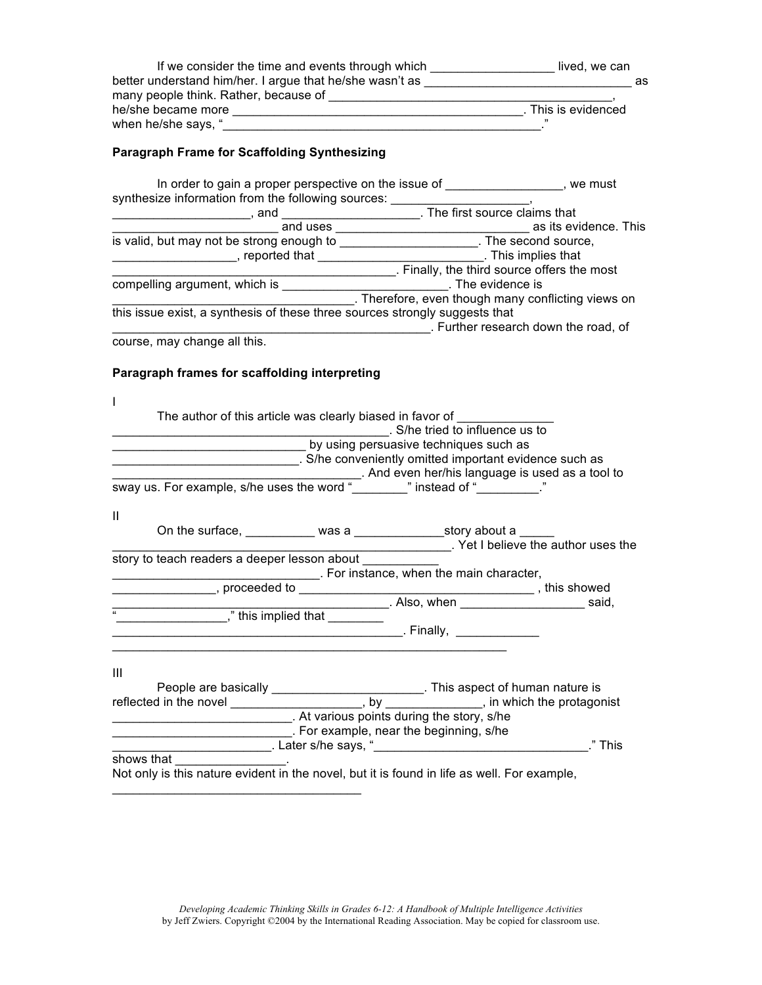| If we consider the time and events through which         | lived, we can       |    |
|----------------------------------------------------------|---------------------|----|
| better understand him/her. I argue that he/she wasn't as |                     | as |
| many people think. Rather, because of                    |                     |    |
| he/she became more                                       | . This is evidenced |    |
| when he/she says, "                                      | 11                  |    |

## **Paragraph Frame for Scaffolding Synthesizing**

\_\_\_\_\_\_\_\_\_\_\_\_\_\_\_\_\_\_\_\_\_\_\_\_\_\_\_\_\_\_\_\_\_\_\_\_

| In order to gain a proper perspective on the issue of _________________, we must                                                                          |                                                                                                                       |                                                  |
|-----------------------------------------------------------------------------------------------------------------------------------------------------------|-----------------------------------------------------------------------------------------------------------------------|--------------------------------------------------|
|                                                                                                                                                           |                                                                                                                       |                                                  |
|                                                                                                                                                           |                                                                                                                       |                                                  |
|                                                                                                                                                           |                                                                                                                       |                                                  |
|                                                                                                                                                           |                                                                                                                       |                                                  |
|                                                                                                                                                           |                                                                                                                       |                                                  |
|                                                                                                                                                           | Finally, the third source offers the most                                                                             |                                                  |
| compelling argument, which is _______________________________. The evidence is                                                                            |                                                                                                                       |                                                  |
|                                                                                                                                                           |                                                                                                                       | Therefore, even though many conflicting views on |
| this issue exist, a synthesis of these three sources strongly suggests that                                                                               |                                                                                                                       |                                                  |
|                                                                                                                                                           |                                                                                                                       | Letther research down the road, of               |
| course, may change all this.                                                                                                                              |                                                                                                                       |                                                  |
|                                                                                                                                                           |                                                                                                                       |                                                  |
| Paragraph frames for scaffolding interpreting                                                                                                             |                                                                                                                       |                                                  |
| $\mathbf{I}$                                                                                                                                              |                                                                                                                       |                                                  |
| The author of this article was clearly biased in favor of                                                                                                 |                                                                                                                       |                                                  |
|                                                                                                                                                           |                                                                                                                       |                                                  |
| S/he tried to influence us to<br>by using persuasive techniques such as                                                                                   |                                                                                                                       |                                                  |
|                                                                                                                                                           |                                                                                                                       |                                                  |
|                                                                                                                                                           |                                                                                                                       |                                                  |
| sway us. For example, s/he uses the word "________" instead of "_________."                                                                               |                                                                                                                       |                                                  |
|                                                                                                                                                           |                                                                                                                       |                                                  |
| Ш.                                                                                                                                                        |                                                                                                                       |                                                  |
| On the surface, ____________ was a ________________ story about a _____                                                                                   |                                                                                                                       |                                                  |
|                                                                                                                                                           |                                                                                                                       | Vet I believe the author uses the                |
| story to teach readers a deeper lesson about                                                                                                              |                                                                                                                       |                                                  |
|                                                                                                                                                           | For instance, when the main character,                                                                                |                                                  |
| $\overbrace{\hspace{2.5cm}}^{\textcolor{blue}{\textcolor{blue}{\textbf{p}}}}$ , proceeded to $\overbrace{\hspace{2.5cm}}^{\textcolor{blue}{\textbf{p}}}}$ |                                                                                                                       |                                                  |
|                                                                                                                                                           |                                                                                                                       |                                                  |
| $\overline{u}$<br>$\blacksquare$ This implied that $\blacksquare$                                                                                         |                                                                                                                       |                                                  |
|                                                                                                                                                           | <u>Example 2001 - Andre Communications Communications (Communications Communications Communications Communication</u> |                                                  |
|                                                                                                                                                           |                                                                                                                       |                                                  |
|                                                                                                                                                           |                                                                                                                       |                                                  |
| Ш                                                                                                                                                         |                                                                                                                       |                                                  |
| People are basically ___________________________. This aspect of human nature is                                                                          |                                                                                                                       |                                                  |
|                                                                                                                                                           |                                                                                                                       |                                                  |
|                                                                                                                                                           |                                                                                                                       |                                                  |
| For example, near the beginning, s/he                                                                                                                     |                                                                                                                       |                                                  |
| <b>Example 2018</b> Later s/he says, "                                                                                                                    |                                                                                                                       | ." This                                          |
| shows that                                                                                                                                                |                                                                                                                       |                                                  |
| Not only is this nature evident in the novel, but it is found in life as well. For example,                                                               |                                                                                                                       |                                                  |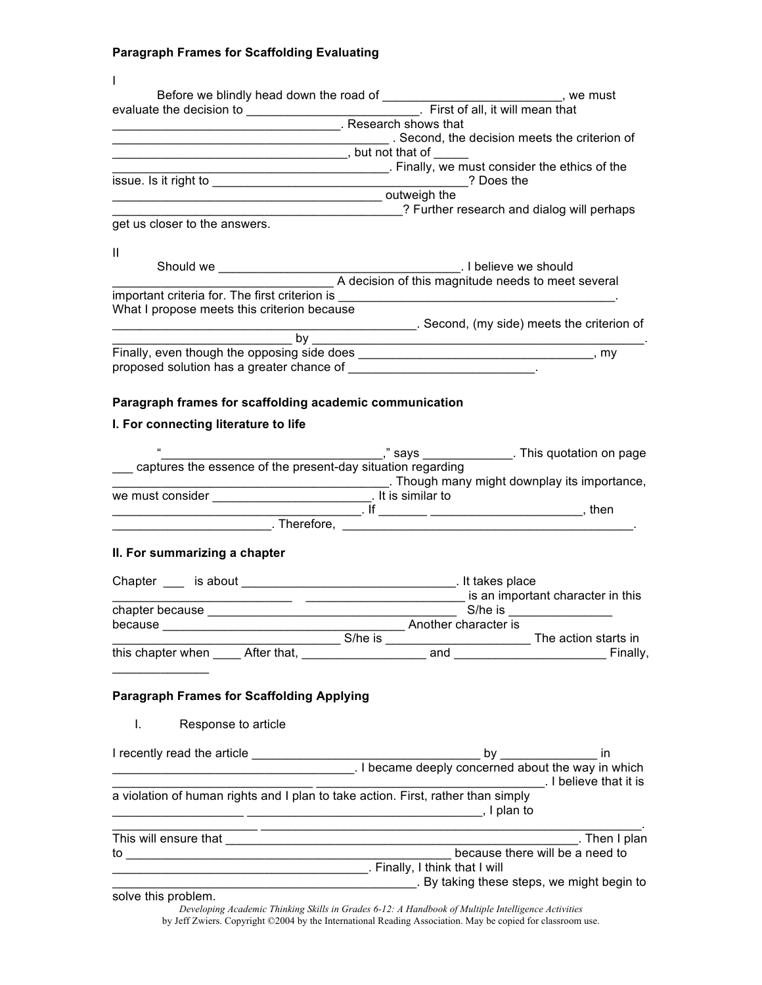## **Paragraph Frames for Scaffolding Evaluating**

| $\mathbf{I}$                                                                        |                                                                                                                        |
|-------------------------------------------------------------------------------------|------------------------------------------------------------------------------------------------------------------------|
|                                                                                     |                                                                                                                        |
|                                                                                     |                                                                                                                        |
|                                                                                     | Letter and Second, the decision meets the criterion of                                                                 |
|                                                                                     |                                                                                                                        |
|                                                                                     | Finally, we must consider the ethics of the electron consumer that the ethics of the                                   |
|                                                                                     |                                                                                                                        |
|                                                                                     |                                                                                                                        |
|                                                                                     |                                                                                                                        |
| get us closer to the answers.                                                       |                                                                                                                        |
|                                                                                     |                                                                                                                        |
| Ш                                                                                   |                                                                                                                        |
|                                                                                     |                                                                                                                        |
|                                                                                     |                                                                                                                        |
|                                                                                     |                                                                                                                        |
| What I propose meets this criterion because                                         |                                                                                                                        |
|                                                                                     |                                                                                                                        |
| $\sim$ $\sim$ $\sim$                                                                |                                                                                                                        |
| Finally, even though the opposing side does ___________________________________, my |                                                                                                                        |
| proposed solution has a greater chance of proposed solution has a greater chance of |                                                                                                                        |
|                                                                                     |                                                                                                                        |
| Paragraph frames for scaffolding academic communication                             |                                                                                                                        |
|                                                                                     |                                                                                                                        |
| I. For connecting literature to life                                                |                                                                                                                        |
|                                                                                     | _________," says _________________. This quotation on page                                                             |
| captures the essence of the present-day situation regarding                         |                                                                                                                        |
|                                                                                     |                                                                                                                        |
|                                                                                     |                                                                                                                        |
|                                                                                     |                                                                                                                        |
|                                                                                     | <u>2008 - Edward Henry Communication (Communication of the Communication of the Communication of the Communication</u> |
|                                                                                     |                                                                                                                        |
| II. For summarizing a chapter                                                       |                                                                                                                        |
|                                                                                     |                                                                                                                        |
|                                                                                     |                                                                                                                        |
|                                                                                     | is an important character in this                                                                                      |
|                                                                                     |                                                                                                                        |
| because                                                                             | Another character is                                                                                                   |
|                                                                                     |                                                                                                                        |
|                                                                                     |                                                                                                                        |
|                                                                                     |                                                                                                                        |
|                                                                                     |                                                                                                                        |
| <b>Paragraph Frames for Scaffolding Applying</b>                                    |                                                                                                                        |
|                                                                                     |                                                                                                                        |
| Response to article<br>Τ.                                                           |                                                                                                                        |
|                                                                                     |                                                                                                                        |
|                                                                                     |                                                                                                                        |
|                                                                                     |                                                                                                                        |
|                                                                                     | a violation of human rights and I plan to take action. First, rather than simply                                       |
|                                                                                     |                                                                                                                        |
|                                                                                     |                                                                                                                        |
|                                                                                     |                                                                                                                        |
|                                                                                     |                                                                                                                        |
|                                                                                     |                                                                                                                        |
|                                                                                     | Letter By taking these steps, we might begin to process that the set of the set of the set of the set of the s         |
| solve this problem.                                                                 |                                                                                                                        |
| $1 + m + 1 - m + 2 + 2 + 3 + m + 1 + 2$                                             |                                                                                                                        |

*Developing Academic Thinking Skills in Grades 6-12: A Handbook of Multiple Intelligence Activities* by Jeff Zwiers. Copyright ©2004 by the International Reading Association. May be copied for classroom use.